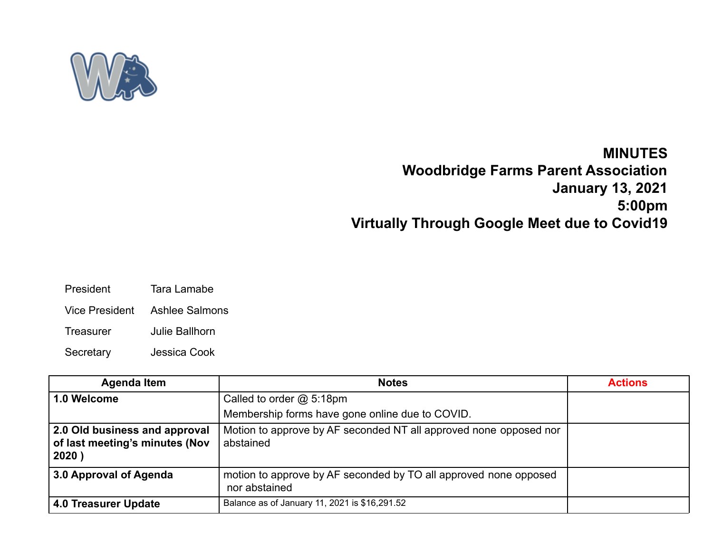

## **MINUTES Woodbridge Farms Parent Association January 13, 2021 5:00pm Virtually Through Google Meet due to Covid19**

- President Tara Lamabe
- Vice President Ashlee Salmons
- Treasurer Julie Ballhorn
- Secretary Jessica Cook

| <b>Agenda Item</b>                                                       | <b>Notes</b>                                                                      | <b>Actions</b> |
|--------------------------------------------------------------------------|-----------------------------------------------------------------------------------|----------------|
| 1.0 Welcome                                                              | Called to order $@$ 5:18pm                                                        |                |
|                                                                          | Membership forms have gone online due to COVID.                                   |                |
| 2.0 Old business and approval<br>of last meeting's minutes (Nov<br>2020) | Motion to approve by AF seconded NT all approved none opposed nor<br>abstained    |                |
| 3.0 Approval of Agenda                                                   | motion to approve by AF seconded by TO all approved none opposed<br>nor abstained |                |
| 4.0 Treasurer Update                                                     | Balance as of January 11, 2021 is \$16,291.52                                     |                |